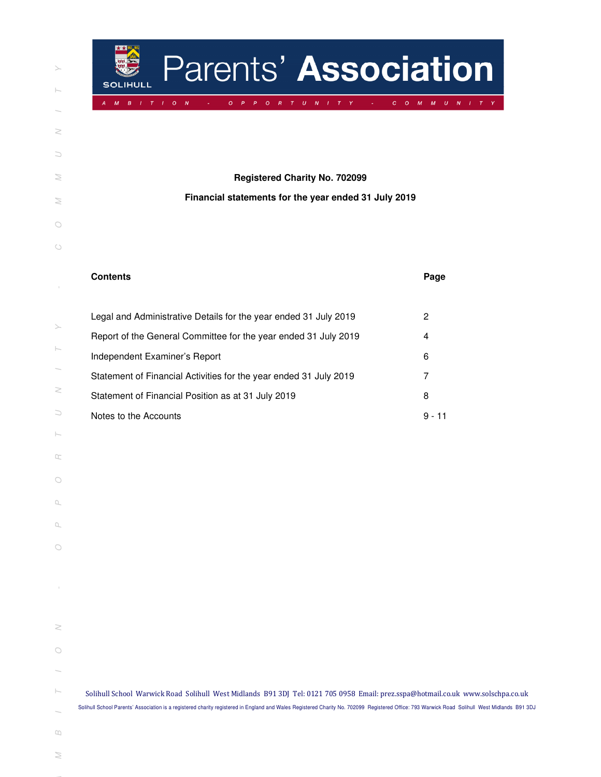| ⋋                                                                                                                                 |
|-----------------------------------------------------------------------------------------------------------------------------------|
| $\vdash$                                                                                                                          |
|                                                                                                                                   |
| Z                                                                                                                                 |
| $\cup$                                                                                                                            |
| $\geq$                                                                                                                            |
| $\geq$                                                                                                                            |
| $\bigcirc$                                                                                                                        |
| $\circ$                                                                                                                           |
| $\begin{array}{c} \begin{array}{c} \begin{array}{c} \begin{array}{c} \end{array} \end{array} \end{array} \end{array} \end{array}$ |
|                                                                                                                                   |
| ⋋                                                                                                                                 |
| $\vdash$                                                                                                                          |
| $\geq$                                                                                                                            |
| C                                                                                                                                 |
| ŀ                                                                                                                                 |
| œ                                                                                                                                 |
| $\bigcirc$                                                                                                                        |
| $\Box$                                                                                                                            |
| Q,                                                                                                                                |
| $\cup$<br>C                                                                                                                       |
| I                                                                                                                                 |
|                                                                                                                                   |
| 2                                                                                                                                 |
| $\circ$                                                                                                                           |
|                                                                                                                                   |
| ŀ                                                                                                                                 |
| $\infty$                                                                                                                          |
| ≋                                                                                                                                 |
|                                                                                                                                   |

| Parents' Association<br><b>SOLIHULL</b>                                                                                                                                                                                                                                                                                           |                                               |  |  |
|-----------------------------------------------------------------------------------------------------------------------------------------------------------------------------------------------------------------------------------------------------------------------------------------------------------------------------------|-----------------------------------------------|--|--|
| $\boldsymbol{B}$<br>$\mathbf{o}$<br>$\boldsymbol{N}$<br>$\overline{R}$<br>$T$ U N I T Y<br>M<br>$I$ T<br>$\mathbf{I}$<br>$\overline{O}$<br>P<br>$\circ$<br>$\mathbf{C}$                                                                                                                                                           | M<br>$U$ $N$ $I$ $T$ $Y$<br>$\mathsf{O}$<br>M |  |  |
| <b>Registered Charity No. 702099</b><br>Financial statements for the year ended 31 July 2019                                                                                                                                                                                                                                      |                                               |  |  |
|                                                                                                                                                                                                                                                                                                                                   |                                               |  |  |
| <b>Contents</b>                                                                                                                                                                                                                                                                                                                   | Page                                          |  |  |
| Legal and Administrative Details for the year ended 31 July 2019                                                                                                                                                                                                                                                                  | 2                                             |  |  |
| Report of the General Committee for the year ended 31 July 2019                                                                                                                                                                                                                                                                   | 4                                             |  |  |
| Independent Examiner's Report                                                                                                                                                                                                                                                                                                     | 6                                             |  |  |
| Statement of Financial Activities for the year ended 31 July 2019                                                                                                                                                                                                                                                                 | 7                                             |  |  |
| Statement of Financial Position as at 31 July 2019                                                                                                                                                                                                                                                                                | 8                                             |  |  |
| Notes to the Accounts                                                                                                                                                                                                                                                                                                             | $9 - 11$                                      |  |  |
|                                                                                                                                                                                                                                                                                                                                   |                                               |  |  |
|                                                                                                                                                                                                                                                                                                                                   |                                               |  |  |
|                                                                                                                                                                                                                                                                                                                                   |                                               |  |  |
|                                                                                                                                                                                                                                                                                                                                   |                                               |  |  |
|                                                                                                                                                                                                                                                                                                                                   |                                               |  |  |
|                                                                                                                                                                                                                                                                                                                                   |                                               |  |  |
|                                                                                                                                                                                                                                                                                                                                   |                                               |  |  |
|                                                                                                                                                                                                                                                                                                                                   |                                               |  |  |
|                                                                                                                                                                                                                                                                                                                                   |                                               |  |  |
|                                                                                                                                                                                                                                                                                                                                   |                                               |  |  |
|                                                                                                                                                                                                                                                                                                                                   |                                               |  |  |
|                                                                                                                                                                                                                                                                                                                                   |                                               |  |  |
|                                                                                                                                                                                                                                                                                                                                   |                                               |  |  |
| Solihull School Warwick Road Solihull West Midlands B91 3DJ Tel: 0121 705 0958 Email: prez.sspa@hotmail.co.uk www.solschpa.co.uk<br>Solihull School Parents' Association is a registered charity registered in England and Wales Registered Charity No. 702099 Registered Office: 793 Warwick Road Solihull West Midlands B91 3DJ |                                               |  |  |

- $\Box$
- $\geq$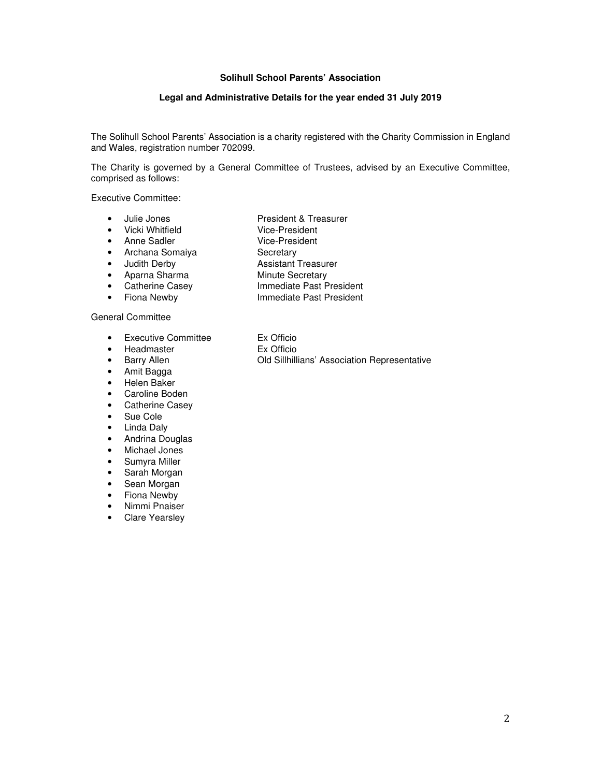# **Legal and Administrative Details for the year ended 31 July 2019**

The Solihull School Parents' Association is a charity registered with the Charity Commission in England and Wales, registration number 702099.

The Charity is governed by a General Committee of Trustees, advised by an Executive Committee, comprised as follows:

Executive Committee:

- 
- Julie Jones President & Treasurer
- Vicki Whitfield Vice-President
- Anne Sadler Vice-President
- Archana Somaiya Secretary<br>• Judith Derby Assistant 1
- 
- Aparna Sharma Minute Secretary<br>• Catherine Casey Minute Secretary<br>• Catherine Casey Immediate Past P
- 
- Immediate Past President

**Assistant Treasurer** 

• Fiona Newby **Immediate Past President** 

## General Committee

- Executive Committee Ex Officio
- Headmaster Ex Officio
- 
- Amit Bagga
- Helen Baker
- Caroline Boden
- Catherine Casey
- Sue Cole
- Linda Daly
- Andrina Douglas
- Michael Jones
- Sumyra Miller
- Sarah Morgan
- Sean Morgan
- Fiona Newby
- Nimmi Pnaiser
- Clare Yearsley

• Barry Allen Old Sillhillians' Association Representative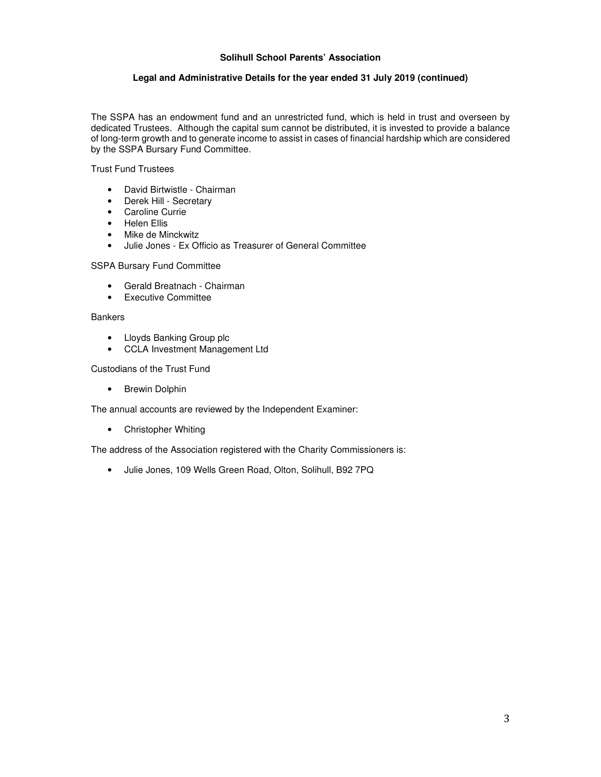# **Legal and Administrative Details for the year ended 31 July 2019 (continued)**

The SSPA has an endowment fund and an unrestricted fund, which is held in trust and overseen by dedicated Trustees. Although the capital sum cannot be distributed, it is invested to provide a balance of long-term growth and to generate income to assist in cases of financial hardship which are considered by the SSPA Bursary Fund Committee.

Trust Fund Trustees

- David Birtwistle Chairman
- Derek Hill Secretary
- Caroline Currie
- Helen Ellis
- Mike de Minckwitz
- Julie Jones Ex Officio as Treasurer of General Committee

SSPA Bursary Fund Committee

- Gerald Breatnach Chairman
- Executive Committee

## **Bankers**

- Lloyds Banking Group plc
- CCLA Investment Management Ltd

Custodians of the Trust Fund

• Brewin Dolphin

The annual accounts are reviewed by the Independent Examiner:

• Christopher Whiting

The address of the Association registered with the Charity Commissioners is:

• Julie Jones, 109 Wells Green Road, Olton, Solihull, B92 7PQ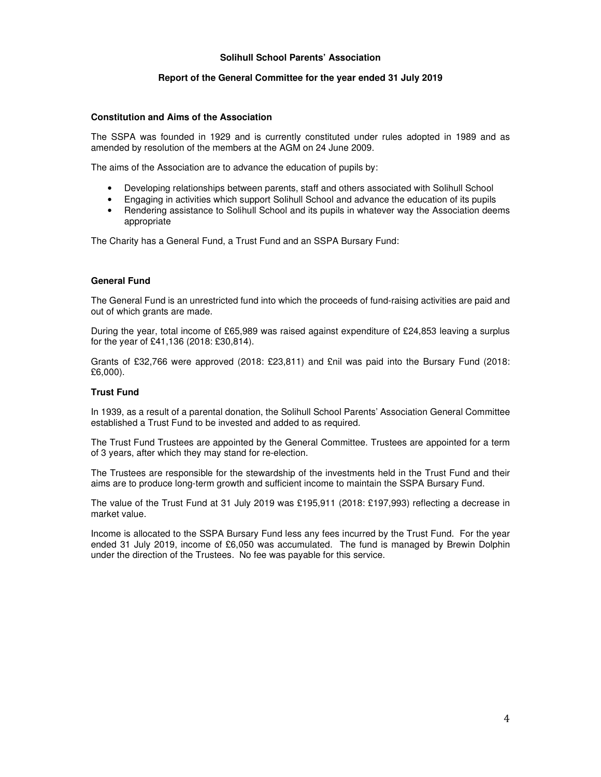#### **Report of the General Committee for the year ended 31 July 2019**

#### **Constitution and Aims of the Association**

The SSPA was founded in 1929 and is currently constituted under rules adopted in 1989 and as amended by resolution of the members at the AGM on 24 June 2009.

The aims of the Association are to advance the education of pupils by:

- Developing relationships between parents, staff and others associated with Solihull School
- Engaging in activities which support Solihull School and advance the education of its pupils
- Rendering assistance to Solihull School and its pupils in whatever way the Association deems appropriate

The Charity has a General Fund, a Trust Fund and an SSPA Bursary Fund:

#### **General Fund**

The General Fund is an unrestricted fund into which the proceeds of fund-raising activities are paid and out of which grants are made.

During the year, total income of £65,989 was raised against expenditure of £24,853 leaving a surplus for the year of £41,136 (2018: £30,814).

Grants of £32,766 were approved (2018: £23,811) and £nil was paid into the Bursary Fund (2018: £6,000).

## **Trust Fund**

In 1939, as a result of a parental donation, the Solihull School Parents' Association General Committee established a Trust Fund to be invested and added to as required.

The Trust Fund Trustees are appointed by the General Committee. Trustees are appointed for a term of 3 years, after which they may stand for re-election.

The Trustees are responsible for the stewardship of the investments held in the Trust Fund and their aims are to produce long-term growth and sufficient income to maintain the SSPA Bursary Fund.

The value of the Trust Fund at 31 July 2019 was £195,911 (2018: £197,993) reflecting a decrease in market value.

Income is allocated to the SSPA Bursary Fund less any fees incurred by the Trust Fund. For the year ended 31 July 2019, income of £6,050 was accumulated. The fund is managed by Brewin Dolphin under the direction of the Trustees. No fee was payable for this service.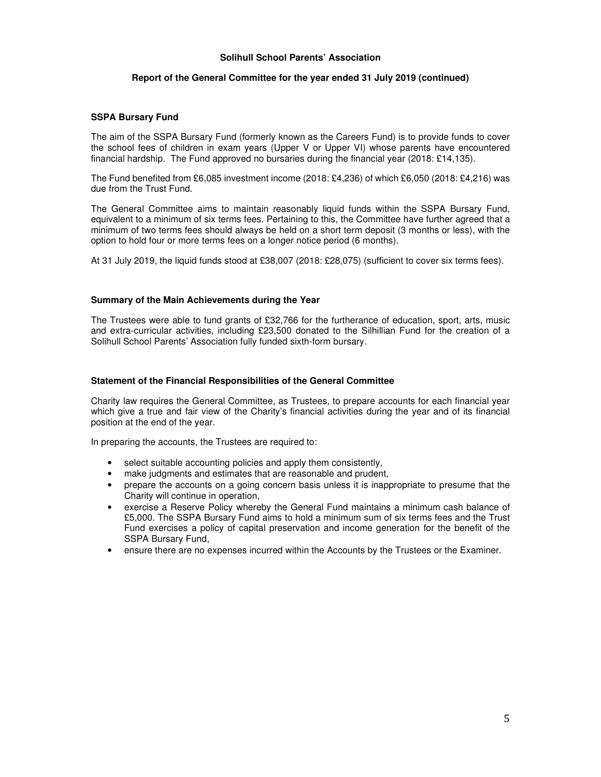#### **Report of the General Committee for the year ended 31 July 2019 (continued)**

#### **SSPA Bursary Fund**

The aim of the SSPA Bursary Fund (formerly known as the Careers Fund) is to provide funds to cover the school fees of children in exam years (Upper V or Upper VI) whose parents have encountered financial hardship. The Fund approved no bursaries during the financial year (2018: £14,135).

The Fund benefited from £6,085 investment income (2018: £4,236) of which £6,050 (2018: £4,216) was due from the Trust Fund.

The General Committee aims to maintain reasonably liquid funds within the SSPA Bursary Fund, equivalent to a minimum of six terms fees. Pertaining to this, the Committee have further agreed that a minimum of two terms fees should always be held on a short term deposit (3 months or less), with the option to hold four or more terms fees on a longer notice period (6 months).

At 31 July 2019, the liquid funds stood at £38,007 (2018: £28,075) (sufficient to cover six terms fees).

#### **Summary of the Main Achievements during the Year**

The Trustees were able to fund grants of £32,766 for the furtherance of education, sport, arts, music and extra-curricular activities, including £23,500 donated to the Silhillian Fund for the creation of a Solihull School Parents' Association fully funded sixth-form bursary.

#### **Statement of the Financial Responsibilities of the General Committee**

Charity law requires the General Committee, as Trustees, to prepare accounts for each financial year which give a true and fair view of the Charity's financial activities during the year and of its financial position at the end of the year.

In preparing the accounts, the Trustees are required to:

- select suitable accounting policies and apply them consistently,
- make judgments and estimates that are reasonable and prudent,
- prepare the accounts on a going concern basis unless it is inappropriate to presume that the Charity will continue in operation,
- exercise a Reserve Policy whereby the General Fund maintains a minimum cash balance of £5,000. The SSPA Bursary Fund aims to hold a minimum sum of six terms fees and the Trust Fund exercises a policy of capital preservation and income generation for the benefit of the SSPA Bursary Fund,
- ensure there are no expenses incurred within the Accounts by the Trustees or the Examiner.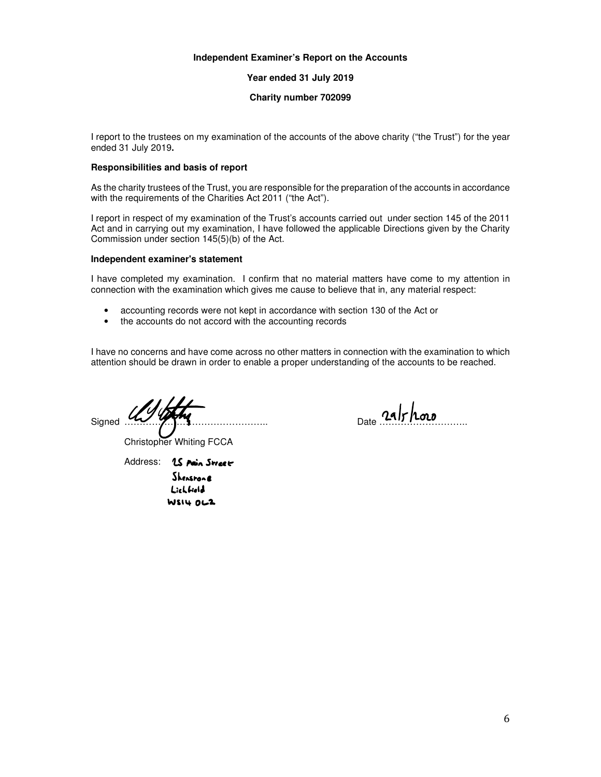### **Independent Examiner's Report on the Accounts**

**Year ended 31 July 2019** 

### **Charity number 702099**

I report to the trustees on my examination of the accounts of the above charity ("the Trust") for the year ended 31 July 2019**.**

### **Responsibilities and basis of report**

As the charity trustees of the Trust, you are responsible for the preparation of the accounts in accordance with the requirements of the Charities Act 2011 ("the Act").

I report in respect of my examination of the Trust's accounts carried out under section 145 of the 2011 Act and in carrying out my examination, I have followed the applicable Directions given by the Charity Commission under section 145(5)(b) of the Act.

#### **Independent examiner's statement**

I have completed my examination. I confirm that no material matters have come to my attention in connection with the examination which gives me cause to believe that in, any material respect:

- accounting records were not kept in accordance with section 130 of the Act or
- the accounts do not accord with the accounting records

I have no concerns and have come across no other matters in connection with the examination to which attention should be drawn in order to enable a proper understanding of the accounts to be reached.

 $\frac{24}{\pi}$  althous

Christopher Whiting FCCA

Address: 15 Main Street Shenspona Lichfield **WSI4 OLZ**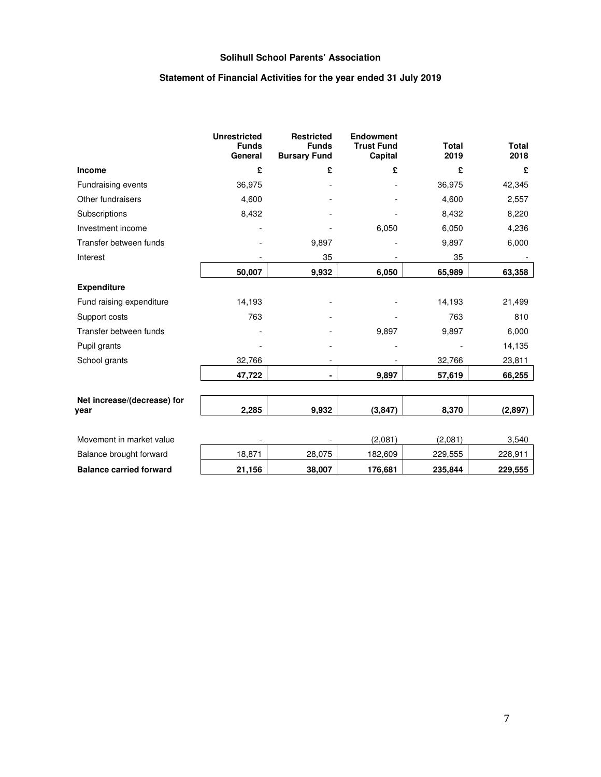# **Statement of Financial Activities for the year ended 31 July 2019**

|                                     | <b>Unrestricted</b><br><b>Funds</b><br>General | <b>Restricted</b><br><b>Funds</b><br><b>Bursary Fund</b> | <b>Endowment</b><br><b>Trust Fund</b><br>Capital | <b>Total</b><br>2019 | <b>Total</b><br>2018 |
|-------------------------------------|------------------------------------------------|----------------------------------------------------------|--------------------------------------------------|----------------------|----------------------|
| <b>Income</b>                       | £                                              | £                                                        | £                                                | £                    | £                    |
| <b>Fundraising events</b>           | 36,975                                         |                                                          |                                                  | 36,975               | 42,345               |
| Other fundraisers                   | 4,600                                          |                                                          |                                                  | 4,600                | 2,557                |
| Subscriptions                       | 8,432                                          |                                                          |                                                  | 8,432                | 8,220                |
| Investment income                   |                                                |                                                          | 6,050                                            | 6,050                | 4,236                |
| Transfer between funds              |                                                | 9,897                                                    |                                                  | 9,897                | 6,000                |
| Interest                            |                                                | 35                                                       |                                                  | 35                   |                      |
|                                     | 50,007                                         | 9,932                                                    | 6,050                                            | 65,989               | 63,358               |
| <b>Expenditure</b>                  |                                                |                                                          |                                                  |                      |                      |
| Fund raising expenditure            | 14,193                                         |                                                          |                                                  | 14,193               | 21,499               |
| Support costs                       | 763                                            |                                                          |                                                  | 763                  | 810                  |
| Transfer between funds              |                                                |                                                          | 9,897                                            | 9,897                | 6,000                |
| Pupil grants                        |                                                |                                                          |                                                  |                      | 14,135               |
| School grants                       | 32,766                                         |                                                          |                                                  | 32,766               | 23,811               |
|                                     | 47,722                                         | ٠                                                        | 9,897                                            | 57,619               | 66,255               |
|                                     |                                                |                                                          |                                                  |                      |                      |
| Net increase/(decrease) for<br>year | 2,285                                          | 9,932                                                    | (3, 847)                                         | 8,370                | (2,897)              |
|                                     |                                                |                                                          |                                                  |                      |                      |
| Movement in market value            |                                                |                                                          | (2,081)                                          | (2,081)              | 3,540                |
| Balance brought forward             | 18,871                                         | 28,075                                                   | 182,609                                          | 229,555              | 228,911              |
| <b>Balance carried forward</b>      | 21,156                                         | 38,007                                                   | 176,681                                          | 235,844              | 229,555              |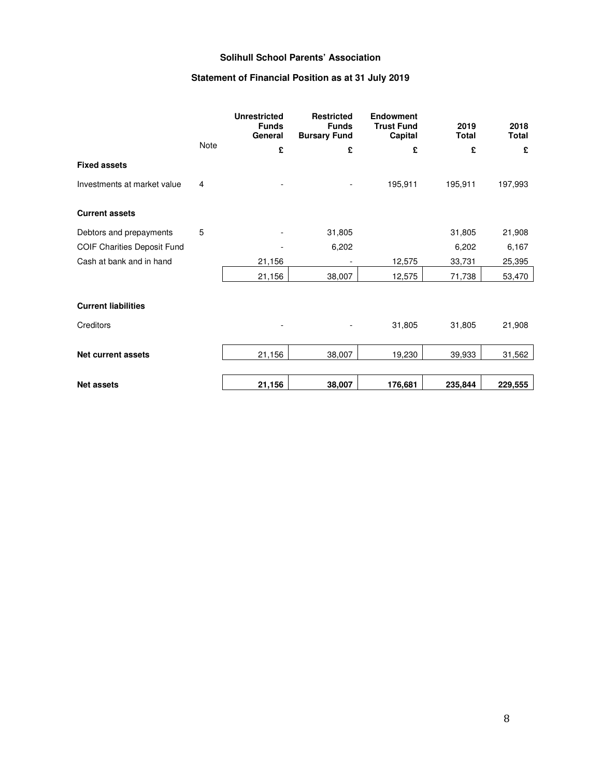# **Statement of Financial Position as at 31 July 2019**

|                                    |      | <b>Unrestricted</b><br><b>Funds</b><br>General | <b>Restricted</b><br><b>Funds</b><br><b>Bursary Fund</b> | <b>Endowment</b><br><b>Trust Fund</b><br>Capital | 2019<br><b>Total</b> | 2018<br><b>Total</b> |
|------------------------------------|------|------------------------------------------------|----------------------------------------------------------|--------------------------------------------------|----------------------|----------------------|
|                                    | Note | £                                              | £                                                        | £                                                | £                    | £                    |
| <b>Fixed assets</b>                |      |                                                |                                                          |                                                  |                      |                      |
| Investments at market value        | 4    |                                                |                                                          | 195,911                                          | 195,911              | 197,993              |
| <b>Current assets</b>              |      |                                                |                                                          |                                                  |                      |                      |
| Debtors and prepayments            | 5    |                                                | 31,805                                                   |                                                  | 31,805               | 21,908               |
| <b>COIF Charities Deposit Fund</b> |      |                                                | 6,202                                                    |                                                  | 6,202                | 6,167                |
| Cash at bank and in hand           |      | 21,156                                         |                                                          | 12,575                                           | 33,731               | 25,395               |
|                                    |      | 21,156                                         | 38,007                                                   | 12,575                                           | 71,738               | 53,470               |
| <b>Current liabilities</b>         |      |                                                |                                                          |                                                  |                      |                      |
| Creditors                          |      |                                                |                                                          | 31,805                                           | 31,805               | 21,908               |
| <b>Net current assets</b>          |      | 21,156                                         | 38,007                                                   | 19,230                                           | 39,933               | 31,562               |
| <b>Net assets</b>                  |      | 21,156                                         | 38,007                                                   | 176,681                                          | 235,844              | 229,555              |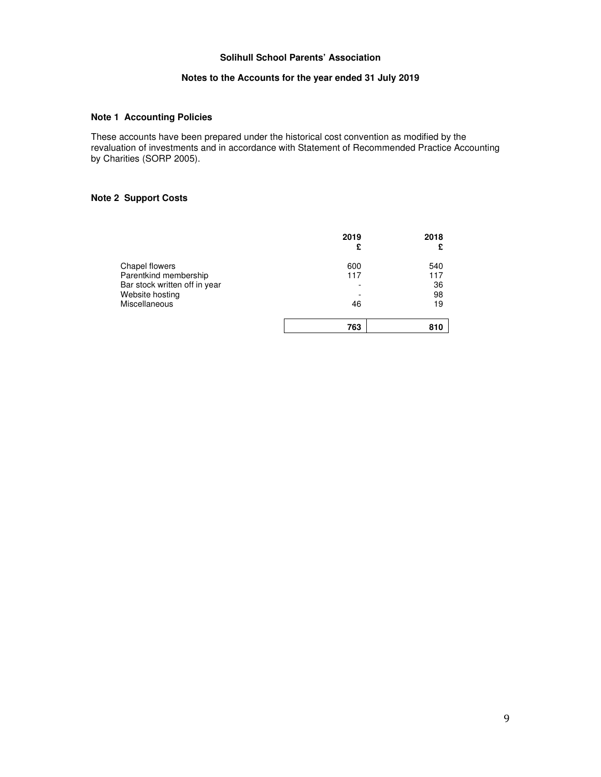# **Notes to the Accounts for the year ended 31 July 2019**

# **Note 1 Accounting Policies**

These accounts have been prepared under the historical cost convention as modified by the revaluation of investments and in accordance with Statement of Recommended Practice Accounting by Charities (SORP 2005).

# **Note 2 Support Costs**

|                               | 2019<br>£ | 2018 |
|-------------------------------|-----------|------|
| Chapel flowers                | 600       | 540  |
| Parentkind membership         | 117       | 117  |
| Bar stock written off in year |           | 36   |
| Website hosting               |           | 98   |
| Miscellaneous                 | 46        | 19   |
|                               | 763       | 810  |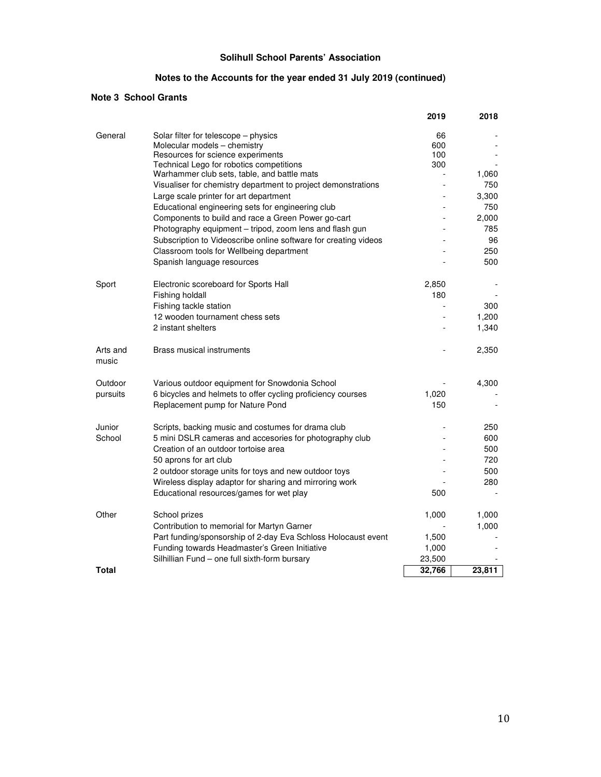# **Notes to the Accounts for the year ended 31 July 2019 (continued)**

# **Note 3 School Grants**

|                   |                                                                 | 2019   | 2018   |
|-------------------|-----------------------------------------------------------------|--------|--------|
| General           | Solar filter for telescope – physics                            | 66     |        |
|                   | Molecular models - chemistry                                    | 600    |        |
|                   | Resources for science experiments                               | 100    |        |
|                   | Technical Lego for robotics competitions                        | 300    |        |
|                   | Warhammer club sets, table, and battle mats                     |        | 1,060  |
|                   | Visualiser for chemistry department to project demonstrations   |        | 750    |
|                   | Large scale printer for art department                          |        | 3,300  |
|                   | Educational engineering sets for engineering club               |        | 750    |
|                   | Components to build and race a Green Power go-cart              |        | 2,000  |
|                   | Photography equipment - tripod, zoom lens and flash gun         |        | 785    |
|                   | Subscription to Videoscribe online software for creating videos |        | 96     |
|                   | Classroom tools for Wellbeing department                        |        | 250    |
|                   | Spanish language resources                                      |        | 500    |
| Sport             | Electronic scoreboard for Sports Hall                           | 2,850  |        |
|                   | Fishing holdall                                                 | 180    |        |
|                   | Fishing tackle station                                          |        | 300    |
|                   | 12 wooden tournament chess sets                                 |        |        |
|                   |                                                                 |        | 1,200  |
|                   | 2 instant shelters                                              |        | 1,340  |
| Arts and<br>music | <b>Brass musical instruments</b>                                |        | 2,350  |
| Outdoor           | Various outdoor equipment for Snowdonia School                  |        | 4,300  |
| pursuits          | 6 bicycles and helmets to offer cycling proficiency courses     | 1,020  |        |
|                   | Replacement pump for Nature Pond                                | 150    |        |
| Junior            | Scripts, backing music and costumes for drama club              |        | 250    |
| School            | 5 mini DSLR cameras and accesories for photography club         |        | 600    |
|                   | Creation of an outdoor tortoise area                            |        | 500    |
|                   | 50 aprons for art club                                          |        | 720    |
|                   | 2 outdoor storage units for toys and new outdoor toys           |        | 500    |
|                   | Wireless display adaptor for sharing and mirroring work         |        | 280    |
|                   | Educational resources/games for wet play                        | 500    |        |
|                   |                                                                 |        |        |
| Other             | School prizes                                                   | 1,000  | 1,000  |
|                   | Contribution to memorial for Martyn Garner                      |        | 1,000  |
|                   | Part funding/sponsorship of 2-day Eva Schloss Holocaust event   | 1,500  |        |
|                   | Funding towards Headmaster's Green Initiative                   | 1,000  |        |
|                   | Silhillian Fund – one full sixth-form bursary                   | 23,500 |        |
| Total             |                                                                 | 32,766 | 23,811 |